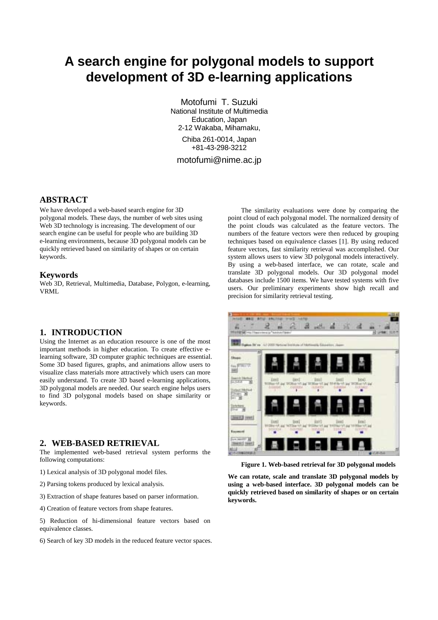# **A search engine for polygonal models to support development of 3D e-learning applications**

Motofumi T. Suzuki National Institute of Multimedia Education, Japan 2-12 Wakaba, Mihamaku, Chiba 261-0014, Japan +81-43-298-3212 motofumi@nime.ac.jp

### **ABSTRACT**

We have developed a web-based search engine for 3D polygonal models. These days, the number of web sites using Web 3D technology is increasing. The development of our search engine can be useful for people who are building 3D e-learning environments, because 3D polygonal models can be quickly retrieved based on similarity of shapes or on certain keywords.

#### **Keywords**

Web 3D, Retrieval, Multimedia, Database, Polygon, e-learning, VRML

#### **1. INTRODUCTION**

Using the Internet as an education resource is one of the most important methods in higher education. To create effective elearning software, 3D computer graphic techniques are essential. Some 3D based figures, graphs, and animations allow users to visualize class materials more attractively which users can more easily understand. To create 3D based e-learning applications, 3D polygonal models are needed. Our search engine helps users to find 3D polygonal models based on shape similarity or keywords.

#### **2. WEB-BASED RETRIEVAL**

The implemented web-based retrieval system performs the following computations:

- 1) Lexical analysis of 3D polygonal model files.
- 2) Parsing tokens produced by lexical analysis.
- 3) Extraction of shape features based on parser information.
- 4) Creation of feature vectors from shape features.

5) Reduction of hi-dimensional feature vectors based on equivalence classes.

6) Search of key 3D models in the reduced feature vector spaces.

The similarity evaluations were done by comparing the point cloud of each polygonal model. The normalized density of the point clouds was calculated as the feature vectors. The numbers of the feature vectors were then reduced by grouping techniques based on equivalence classes [1]. By using reduced feature vectors, fast similarity retrieval was accomplished. Our system allows users to view 3D polygonal models interactively. By using a web-based interface, we can rotate, scale and translate 3D polygonal models. Our 3D polygonal model databases include 1500 items. We have tested systems with five users. Our preliminary experiments show high recall and precision for similarity retrieval testing.



**Figure 1. Web-based retrieval for 3D polygonal models** 

**We can rotate, scale and translate 3D polygonal models by using a web-based interface. 3D polygonal models can be quickly retrieved based on similarity of shapes or on certain keywords.**